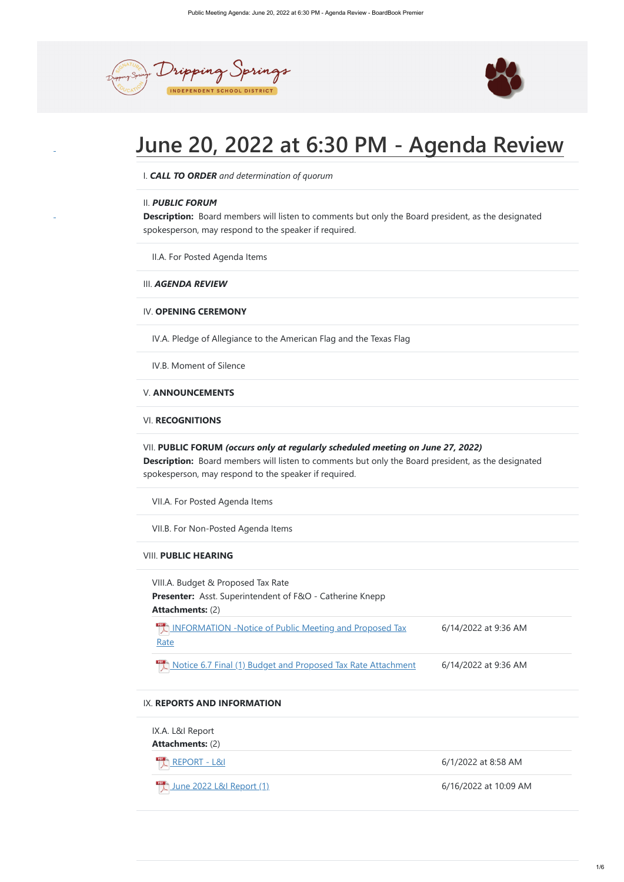



# **June 20, 2022 at 6:30 PM - Agenda Review**

**Description:** Board members will listen to comments but only the Board president, as the designated spokesperson, may respond to the speaker if required.

**Description:**  Board members will listen to comments but only the Board president, as the designated spokesperson, may respond to the speaker if required.

**Presenter:**  Asst. Superintendent of F&O - Catherine Knepp

**Attachments:** (2)

**[INFORMATION -Notice of Public Meeting and Proposed Tax](https://meetings.boardbook.org/Documents/FileViewerOrPublic/634?file=e84524c4-4f3f-4ab0-b337-5450310bdab8&isFromMeeting=True) Rate** 6/14/2022 at 9:36 AM

 $PDF$ **[Notice 6.7 Final \(1\) Budget and Proposed Tax Rate Attachment](https://meetings.boardbook.org/Documents/FileViewerOrPublic/634?file=16874455-e09e-4543-82d3-a4e1ed62cf13&isFromMeeting=True)** 6/14/2022 at 9:36 AM

I. *CALL TO ORDER and determination of quorum*

# II. *PUBLIC FORUM*

II.A. For Posted Agenda Items

III. *AGENDA REVIEW*

# IV. **OPENING CEREMONY**

IV.A. Pledge of Allegiance to the American Flag and the Texas Flag

IV.B. Moment of Silence

# V. **ANNOUNCEMENTS**

# VI. **RECOGNITIONS**

# VII. **PUBLIC FORUM** *(occurs only at regularly scheduled meeting on June 27, 2022)*

VII.A. For Posted Agenda Items

| IX.A. L&I Report                       |                       |
|----------------------------------------|-----------------------|
| <b>Attachments: (2)</b>                |                       |
| <b>EDER</b> REPORT - L&I               | 6/1/2022 at 8:58 AM   |
| <u>La June 2022 L&amp;I Report (1)</u> | 6/16/2022 at 10:09 AM |

VII.B. For Non-Posted Agenda Items

# VIII. **PUBLIC HEARING**

VIII.A. Budget & Proposed Tax Rate

# IX. **REPORTS AND INFORMATION**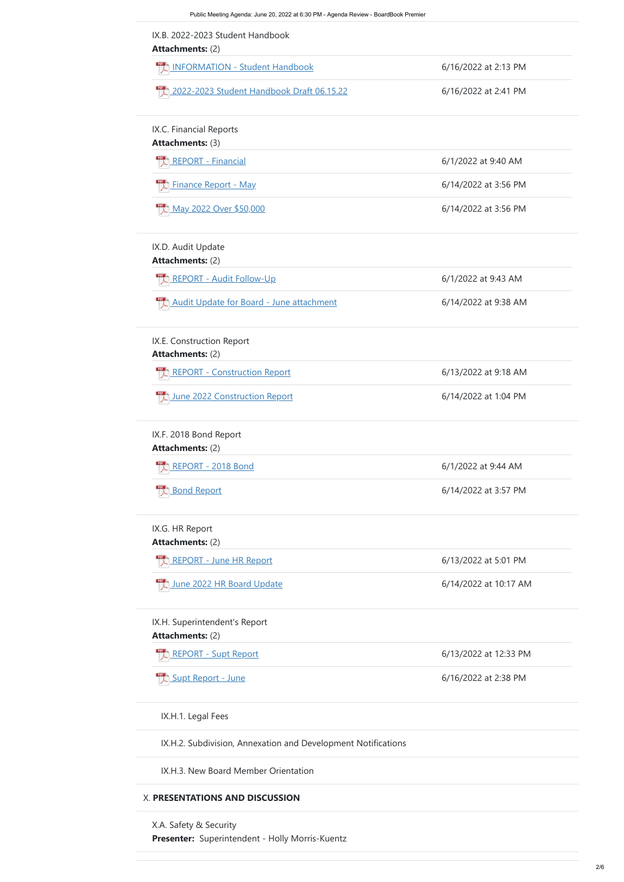| <b>ELL</b> INFORMATION - Student Handbook            | 6/16/2022 at 2:13 PM  |
|------------------------------------------------------|-----------------------|
| 2022-2023 Student Handbook Draft 06.15.22            | 6/16/2022 at 2:41 PM  |
| IX.C. Financial Reports                              |                       |
| <b>Attachments: (3)</b>                              |                       |
| <b>EDET - Financial</b>                              | 6/1/2022 at 9:40 AM   |
| <b>Finance Report - May</b>                          | 6/14/2022 at 3:56 PM  |
| <b>May 2022 Over \$50,000</b>                        | 6/14/2022 at 3:56 PM  |
| IX.D. Audit Update<br><b>Attachments: (2)</b>        |                       |
| <b>AREPORT - Audit Follow-Up</b>                     | 6/1/2022 at 9:43 AM   |
| Audit Update for Board - June attachment             | 6/14/2022 at 9:38 AM  |
| IX.E. Construction Report<br><b>Attachments: (2)</b> |                       |
| <b>EL REPORT - Construction Report</b>               | 6/13/2022 at 9:18 AM  |
| June 2022 Construction Report                        | 6/14/2022 at 1:04 PM  |
| IX.F. 2018 Bond Report<br><b>Attachments: (2)</b>    |                       |
| <b>REPORT - 2018 Bond</b>                            | 6/1/2022 at 9:44 AM   |
| <b>Bond Report</b>                                   | 6/14/2022 at 3:57 PM  |
| IX.G. HR Report                                      |                       |
| <b>Attachments: (2)</b>                              |                       |
| <b>ELA REPORT - June HR Report</b>                   | 6/13/2022 at 5:01 PM  |
| June 2022 HR Board Update                            | 6/14/2022 at 10:17 AM |

[REPORT - Supt Report](https://meetings.boardbook.org/Documents/FileViewerOrPublic/634?file=6587fd28-e59b-45a9-ab43-78b079045296&isFromMeeting=True)  $\overline{6/13/2022}$  at 12:33 PM

**Presenter:**  Superintendent - Holly Morris-Kuentz X.A. Safety & Security



IX.H.1. Legal Fees

IX.H.2. Subdivision, Annexation and Development Notifications

IX.H.3. New Board Member Orientation

# X. **PRESENTATIONS AND DISCUSSION**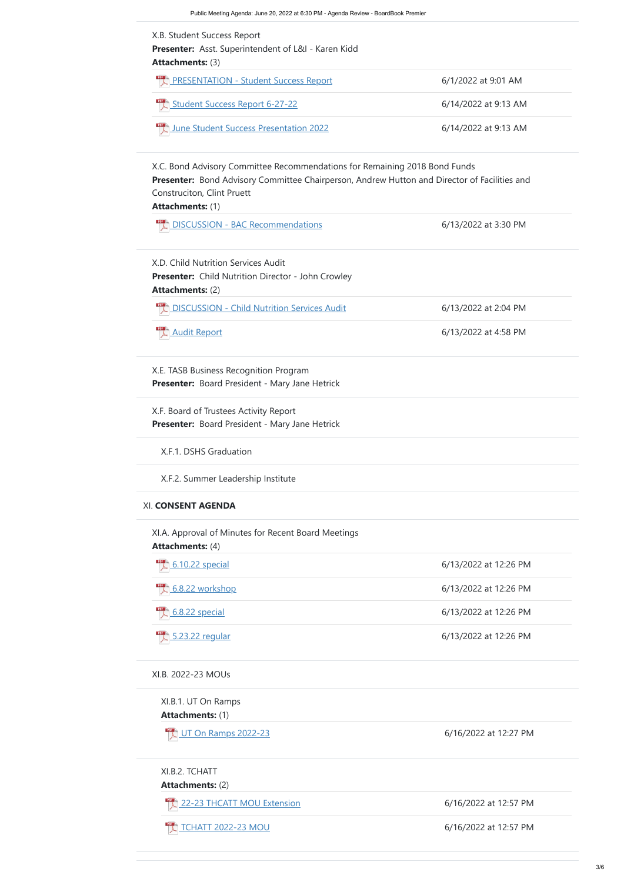**Attachments:** (1) **Attachments:** (2) XI.B.1. UT On Ramps  $\frac{124}{2}$  [UT On Ramps 2022-23](https://meetings.boardbook.org/Documents/FileViewerOrPublic/634?file=e1cace9a-ef23-44af-b23a-fc5e7d9d019e&isFromMeeting=True) **6/16/2022** at 12:27 PM XI.B.2. TCHATT  $\frac{12}{\sqrt{2}}$  [22-23 THCATT MOU Extension](https://meetings.boardbook.org/Documents/FileViewerOrPublic/634?file=9a4e8b4e-abb8-4481-af0e-df3a6594971b&isFromMeeting=True) 6/16/2022 at 12:57 PM [TCHATT 2022-23 MOU](https://meetings.boardbook.org/Documents/FileViewerOrPublic/634?file=54dc6add-7aea-4259-a998-1662b81614ad&isFromMeeting=True) 6/16/2022 at 12:57 PM

| <b>PRESENTATION - Student Success Report</b>                                                                                                                                                                                               | 6/1/2022 at 9:01 AM   |
|--------------------------------------------------------------------------------------------------------------------------------------------------------------------------------------------------------------------------------------------|-----------------------|
| Student Success Report 6-27-22                                                                                                                                                                                                             | 6/14/2022 at 9:13 AM  |
| June Student Success Presentation 2022                                                                                                                                                                                                     | 6/14/2022 at 9:13 AM  |
| X.C. Bond Advisory Committee Recommendations for Remaining 2018 Bond Funds<br>Presenter: Bond Advisory Committee Chairperson, Andrew Hutton and Director of Facilities and<br><b>Construciton, Clint Pruett</b><br><b>Attachments: (1)</b> |                       |
| DISCUSSION - BAC Recommendations                                                                                                                                                                                                           | 6/13/2022 at 3:30 PM  |
| X.D. Child Nutrition Services Audit<br><b>Presenter:</b> Child Nutrition Director - John Crowley<br><b>Attachments: (2)</b>                                                                                                                |                       |
| <b>DISCUSSION - Child Nutrition Services Audit</b>                                                                                                                                                                                         | 6/13/2022 at 2:04 PM  |
| <b>Audit Report</b>                                                                                                                                                                                                                        | 6/13/2022 at 4:58 PM  |
| X.E. TASB Business Recognition Program<br>Presenter: Board President - Mary Jane Hetrick                                                                                                                                                   |                       |
| X.F. Board of Trustees Activity Report<br>Presenter: Board President - Mary Jane Hetrick                                                                                                                                                   |                       |
| X.F.1. DSHS Graduation                                                                                                                                                                                                                     |                       |
| X.F.2. Summer Leadership Institute                                                                                                                                                                                                         |                       |
| <b>XI. CONSENT AGENDA</b>                                                                                                                                                                                                                  |                       |
| XI.A. Approval of Minutes for Recent Board Meetings<br><b>Attachments: (4)</b>                                                                                                                                                             |                       |
| 6.10.22 special                                                                                                                                                                                                                            | 6/13/2022 at 12:26 PM |

 $\frac{1}{2}$  [5.23.22 regular](https://meetings.boardbook.org/Documents/FileViewerOrPublic/634?file=bba13a74-8401-49ee-95c2-b106b222dee2&isFromMeeting=True) 6/13/2022 at 12:26 PM

XI.B. 2022-23 MOUs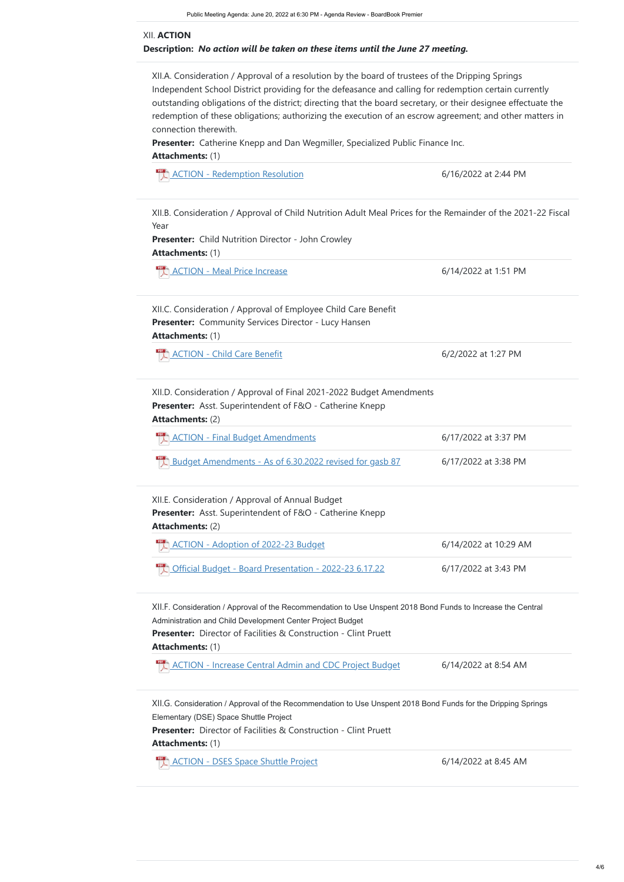**Presenter:** Child Nutrition Director - John Crowley **Attachments:** (1)

[ACTION - Meal Price Increase](https://meetings.boardbook.org/Documents/FileViewerOrPublic/634?file=d1e4b749-1f19-48ad-b799-a97a757e0c88&isFromMeeting=True) 6/14/2022 at 1:51 PM

# **Attachments:** (1)

 $\frac{1}{2}$  [ACTION - Redemption Resolution](https://meetings.boardbook.org/Documents/FileViewerOrPublic/634?file=2de254cf-4638-4bf8-b6c9-13e8afd31f0a&isFromMeeting=True) 6/16/2022 at 2:44 PM

# **Description:**  *No action will be taken on these items until the June 27 meeting.* XII. **ACTION**

**Attachments:** (2)

[ACTION - Final Budget Amendments](https://meetings.boardbook.org/Documents/FileViewerOrPublic/634?file=7ff88920-b92d-43bb-824e-7be874100960&isFromMeeting=True) 6/17/2022 at 3:37 PM

 $\frac{1}{2}$  [Budget Amendments - As of 6.30.2022 revised for gasb 87](https://meetings.boardbook.org/Documents/FileViewerOrPublic/634?file=af8a967d-b997-464d-b958-fdb0ad7a775e&isFromMeeting=True) 6/17/2022 at 3:38 PM

**Attachments:** (2)

**Presenter:**  Director of Facilities & Construction - Clint Pruett

# **Attachments:** (1)

 $PDF$ [ACTION - Increase Central Admin and CDC Project Budget](https://meetings.boardbook.org/Documents/FileViewerOrPublic/634?file=12c183c5-c802-4867-81fb-c65516aefacf&isFromMeeting=True) 6/14/2022 at 8:54 AM

**Presenter:**  Director of Facilities & Construction - Clint Pruett

**Attachments:** (1)

[ACTION - DSES Space Shuttle Project](https://meetings.boardbook.org/Documents/FileViewerOrPublic/634?file=6f31788f-8f20-4f46-9de7-52807c79270e&isFromMeeting=True) 6/14/2022 at 8:45 AM

Presenter: Community Services Director - Lucy Hansen **Attachments:** (1) XII.C. Consideration / Approval of Employee Child Care Benefit

[ACTION - Child Care Benefit](https://meetings.boardbook.org/Documents/FileViewerOrPublic/634?file=fdddd776-1346-43be-8729-7eb777480a96&isFromMeeting=True) 6/2/2022 at 1:27 PM

XII.A. Consideration / Approval of a resolution by the board of trustees of the Dripping Springs Independent School District providing for the defeasance and calling for redemption certain currently outstanding obligations of the district; directing that the board secretary, or their designee effectuate the redemption of these obligations; authorizing the execution of an escrow agreement; and other matters in connection therewith.

**Presenter:** Catherine Knepp and Dan Wegmiller, Specialized Public Finance Inc.

**Presenter:**  Asst. Superintendent of F&O - Catherine Knepp XII.D. Consideration / Approval of Final 2021-2022 Budget Amendments

XII.B. Consideration / Approval of Child Nutrition Adult Meal Prices for the Remainder of the 2021-22 Fiscal Year

XII.E. Consideration / Approval of Annual Budget

**Presenter:** Asst. Superintendent of F&O - Catherine Knepp

| ACTION - Adoption of 2022-23 Budget  | 6/14/2022 at 10:29 AM |
|--------------------------------------|-----------------------|
| <b>Demand Strute 2022-23 6.17.22</b> | 6/17/2022 at 3:43 PM  |

XII.F. Consideration / Approval of the Recommendation to Use Unspent 2018 Bond Funds to Increase the Central Administration and Child Development Center Project Budget

XII.G. Consideration / Approval of the Recommendation to Use Unspent 2018 Bond Funds for the Dripping Springs

Elementary (DSE) Space Shuttle Project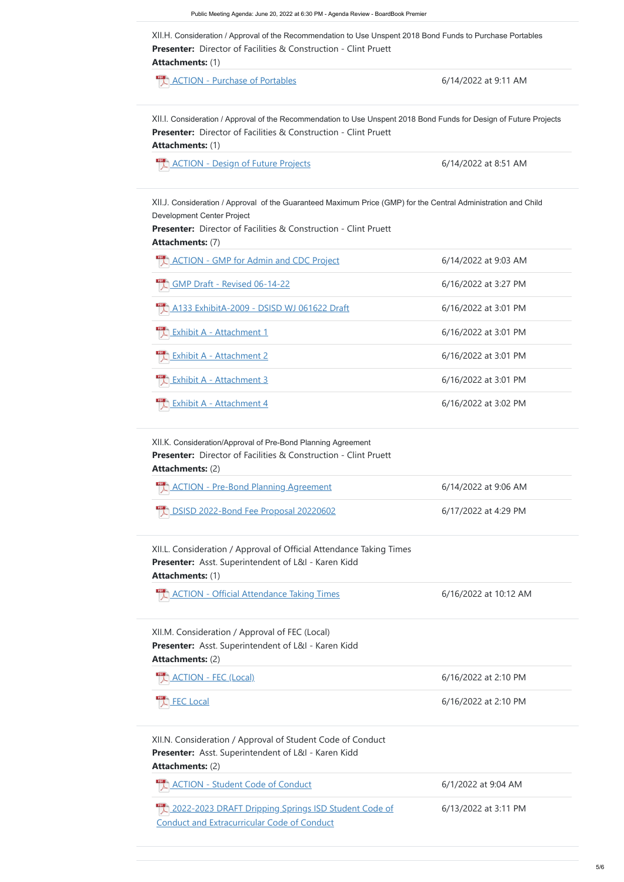**Presenter:**  Asst. Superintendent of L&I - Karen Kidd **Attachments:** (2)



| XII.N. Consideration / Approval of Student Code of Conduct<br>Presenter: Asst. Superintendent of L&I - Karen Kidd |                      |  |
|-------------------------------------------------------------------------------------------------------------------|----------------------|--|
|                                                                                                                   |                      |  |
| <b>ACTION - Student Code of Conduct</b>                                                                           | 6/1/2022 at 9:04 AM  |  |
| 2022-2023 DRAFT Dripping Springs ISD Student Code of<br><b>Conduct and Extracurricular Code of Conduct</b>        | 6/13/2022 at 3:11 PM |  |





[FEC Local](https://meetings.boardbook.org/Documents/FileViewerOrPublic/634?file=cfb9c01f-afe3-4a28-a1c4-f7d4b87f7b10&isFromMeeting=True) 6/16/2022 at 2:10 PM